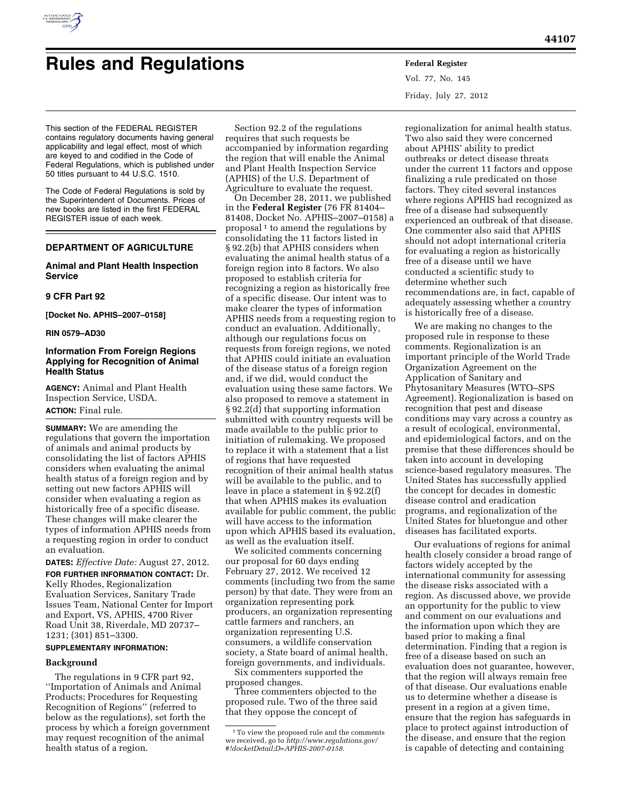

# **Rules and Regulations Federal Register**

This section of the FEDERAL REGISTER contains regulatory documents having general applicability and legal effect, most of which are keyed to and codified in the Code of Federal Regulations, which is published under 50 titles pursuant to 44 U.S.C. 1510.

The Code of Federal Regulations is sold by the Superintendent of Documents. Prices of new books are listed in the first FEDERAL REGISTER issue of each week.

# **DEPARTMENT OF AGRICULTURE**

# **Animal and Plant Health Inspection Service**

# **9 CFR Part 92**

**[Docket No. APHIS–2007–0158]** 

#### **RIN 0579–AD30**

# **Information From Foreign Regions Applying for Recognition of Animal Health Status**

**AGENCY:** Animal and Plant Health Inspection Service, USDA. **ACTION:** Final rule.

**SUMMARY:** We are amending the regulations that govern the importation of animals and animal products by consolidating the list of factors APHIS considers when evaluating the animal health status of a foreign region and by setting out new factors APHIS will consider when evaluating a region as historically free of a specific disease. These changes will make clearer the types of information APHIS needs from a requesting region in order to conduct an evaluation.

**DATES:** *Effective Date:* August 27, 2012.

**FOR FURTHER INFORMATION CONTACT:** Dr. Kelly Rhodes, Regionalization Evaluation Services, Sanitary Trade Issues Team, National Center for Import and Export, VS, APHIS, 4700 River Road Unit 38, Riverdale, MD 20737– 1231; (301) 851–3300.

# **SUPPLEMENTARY INFORMATION:**

#### **Background**

The regulations in 9 CFR part 92, ''Importation of Animals and Animal Products; Procedures for Requesting Recognition of Regions'' (referred to below as the regulations), set forth the process by which a foreign government may request recognition of the animal health status of a region.

Section 92.2 of the regulations requires that such requests be accompanied by information regarding the region that will enable the Animal and Plant Health Inspection Service (APHIS) of the U.S. Department of Agriculture to evaluate the request.

On December 28, 2011, we published in the **Federal Register** (76 FR 81404– 81408, Docket No. APHIS–2007–0158) a proposal<sup>1</sup> to amend the regulations by consolidating the 11 factors listed in § 92.2(b) that APHIS considers when evaluating the animal health status of a foreign region into 8 factors. We also proposed to establish criteria for recognizing a region as historically free of a specific disease. Our intent was to make clearer the types of information APHIS needs from a requesting region to conduct an evaluation. Additionally, although our regulations focus on requests from foreign regions, we noted that APHIS could initiate an evaluation of the disease status of a foreign region and, if we did, would conduct the evaluation using these same factors. We also proposed to remove a statement in § 92.2(d) that supporting information submitted with country requests will be made available to the public prior to initiation of rulemaking. We proposed to replace it with a statement that a list of regions that have requested recognition of their animal health status will be available to the public, and to leave in place a statement in § 92.2(f) that when APHIS makes its evaluation available for public comment, the public will have access to the information upon which APHIS based its evaluation, as well as the evaluation itself.

We solicited comments concerning our proposal for 60 days ending February 27, 2012. We received 12 comments (including two from the same person) by that date. They were from an organization representing pork producers, an organization representing cattle farmers and ranchers, an organization representing U.S. consumers, a wildlife conservation society, a State board of animal health, foreign governments, and individuals. Six commenters supported the

proposed changes.

Three commenters objected to the proposed rule. Two of the three said that they oppose the concept of

Vol. 77, No. 145 Friday, July 27, 2012

regionalization for animal health status. Two also said they were concerned about APHIS' ability to predict outbreaks or detect disease threats under the current 11 factors and oppose finalizing a rule predicated on those factors. They cited several instances where regions APHIS had recognized as free of a disease had subsequently experienced an outbreak of that disease. One commenter also said that APHIS should not adopt international criteria for evaluating a region as historically free of a disease until we have conducted a scientific study to determine whether such recommendations are, in fact, capable of adequately assessing whether a country is historically free of a disease.

We are making no changes to the proposed rule in response to these comments. Regionalization is an important principle of the World Trade Organization Agreement on the Application of Sanitary and Phytosanitary Measures (WTO–SPS Agreement). Regionalization is based on recognition that pest and disease conditions may vary across a country as a result of ecological, environmental, and epidemiological factors, and on the premise that these differences should be taken into account in developing science-based regulatory measures. The United States has successfully applied the concept for decades in domestic disease control and eradication programs, and regionalization of the United States for bluetongue and other diseases has facilitated exports.

Our evaluations of regions for animal health closely consider a broad range of factors widely accepted by the international community for assessing the disease risks associated with a region. As discussed above, we provide an opportunity for the public to view and comment on our evaluations and the information upon which they are based prior to making a final determination. Finding that a region is free of a disease based on such an evaluation does not guarantee, however, that the region will always remain free of that disease. Our evaluations enable us to determine whether a disease is present in a region at a given time, ensure that the region has safeguards in place to protect against introduction of the disease, and ensure that the region is capable of detecting and containing

<sup>1</sup>To view the proposed rule and the comments we received, go to *[http://www.regulations.gov/](http://www.regulations.gov/#!docketDetail;D=APHIS-2007-0158)  [#!docketDetail;D=APHIS-2007-0158.](http://www.regulations.gov/#!docketDetail;D=APHIS-2007-0158)*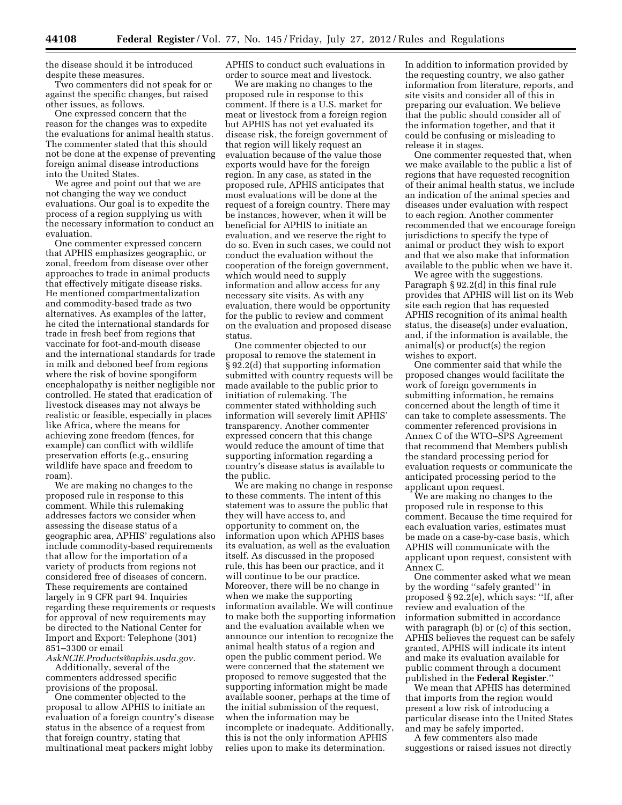the disease should it be introduced despite these measures.

Two commenters did not speak for or against the specific changes, but raised other issues, as follows.

One expressed concern that the reason for the changes was to expedite the evaluations for animal health status. The commenter stated that this should not be done at the expense of preventing foreign animal disease introductions into the United States.

We agree and point out that we are not changing the way we conduct evaluations. Our goal is to expedite the process of a region supplying us with the necessary information to conduct an evaluation.

One commenter expressed concern that APHIS emphasizes geographic, or zonal, freedom from disease over other approaches to trade in animal products that effectively mitigate disease risks. He mentioned compartmentalization and commodity-based trade as two alternatives. As examples of the latter, he cited the international standards for trade in fresh beef from regions that vaccinate for foot-and-mouth disease and the international standards for trade in milk and deboned beef from regions where the risk of bovine spongiform encephalopathy is neither negligible nor controlled. He stated that eradication of livestock diseases may not always be realistic or feasible, especially in places like Africa, where the means for achieving zone freedom (fences, for example) can conflict with wildlife preservation efforts (e.g., ensuring wildlife have space and freedom to roam).

We are making no changes to the proposed rule in response to this comment. While this rulemaking addresses factors we consider when assessing the disease status of a geographic area, APHIS' regulations also include commodity-based requirements that allow for the importation of a variety of products from regions not considered free of diseases of concern. These requirements are contained largely in 9 CFR part 94. Inquiries regarding these requirements or requests for approval of new requirements may be directed to the National Center for Import and Export: Telephone (301) 851–3300 or email

*[AskNCIE.Products@aphis.usda.gov.](mailto:AskNCIE.Products@aphis.usda.gov)*  Additionally, several of the commenters addressed specific provisions of the proposal.

One commenter objected to the proposal to allow APHIS to initiate an evaluation of a foreign country's disease status in the absence of a request from that foreign country, stating that multinational meat packers might lobby

APHIS to conduct such evaluations in order to source meat and livestock.

We are making no changes to the proposed rule in response to this comment. If there is a U.S. market for meat or livestock from a foreign region but APHIS has not yet evaluated its disease risk, the foreign government of that region will likely request an evaluation because of the value those exports would have for the foreign region. In any case, as stated in the proposed rule, APHIS anticipates that most evaluations will be done at the request of a foreign country. There may be instances, however, when it will be beneficial for APHIS to initiate an evaluation, and we reserve the right to do so. Even in such cases, we could not conduct the evaluation without the cooperation of the foreign government, which would need to supply information and allow access for any necessary site visits. As with any evaluation, there would be opportunity for the public to review and comment on the evaluation and proposed disease status.

One commenter objected to our proposal to remove the statement in § 92.2(d) that supporting information submitted with country requests will be made available to the public prior to initiation of rulemaking. The commenter stated withholding such information will severely limit APHIS' transparency. Another commenter expressed concern that this change would reduce the amount of time that supporting information regarding a country's disease status is available to the public.

We are making no change in response to these comments. The intent of this statement was to assure the public that they will have access to, and opportunity to comment on, the information upon which APHIS bases its evaluation, as well as the evaluation itself. As discussed in the proposed rule, this has been our practice, and it will continue to be our practice. Moreover, there will be no change in when we make the supporting information available. We will continue to make both the supporting information and the evaluation available when we announce our intention to recognize the animal health status of a region and open the public comment period. We were concerned that the statement we proposed to remove suggested that the supporting information might be made available sooner, perhaps at the time of the initial submission of the request, when the information may be incomplete or inadequate. Additionally, this is not the only information APHIS relies upon to make its determination.

In addition to information provided by the requesting country, we also gather information from literature, reports, and site visits and consider all of this in preparing our evaluation. We believe that the public should consider all of the information together, and that it could be confusing or misleading to release it in stages.

One commenter requested that, when we make available to the public a list of regions that have requested recognition of their animal health status, we include an indication of the animal species and diseases under evaluation with respect to each region. Another commenter recommended that we encourage foreign jurisdictions to specify the type of animal or product they wish to export and that we also make that information available to the public when we have it.

We agree with the suggestions. Paragraph § 92.2(d) in this final rule provides that APHIS will list on its Web site each region that has requested APHIS recognition of its animal health status, the disease(s) under evaluation, and, if the information is available, the animal(s) or product(s) the region wishes to export.

One commenter said that while the proposed changes would facilitate the work of foreign governments in submitting information, he remains concerned about the length of time it can take to complete assessments. The commenter referenced provisions in Annex C of the WTO–SPS Agreement that recommend that Members publish the standard processing period for evaluation requests or communicate the anticipated processing period to the applicant upon request.

We are making no changes to the proposed rule in response to this comment. Because the time required for each evaluation varies, estimates must be made on a case-by-case basis, which APHIS will communicate with the applicant upon request, consistent with Annex C.

One commenter asked what we mean by the wording ''safely granted'' in proposed § 92.2(e), which says: ''If, after review and evaluation of the information submitted in accordance with paragraph (b) or (c) of this section, APHIS believes the request can be safely granted, APHIS will indicate its intent and make its evaluation available for public comment through a document published in the **Federal Register**.''

We mean that APHIS has determined that imports from the region would present a low risk of introducing a particular disease into the United States and may be safely imported.

A few commenters also made suggestions or raised issues not directly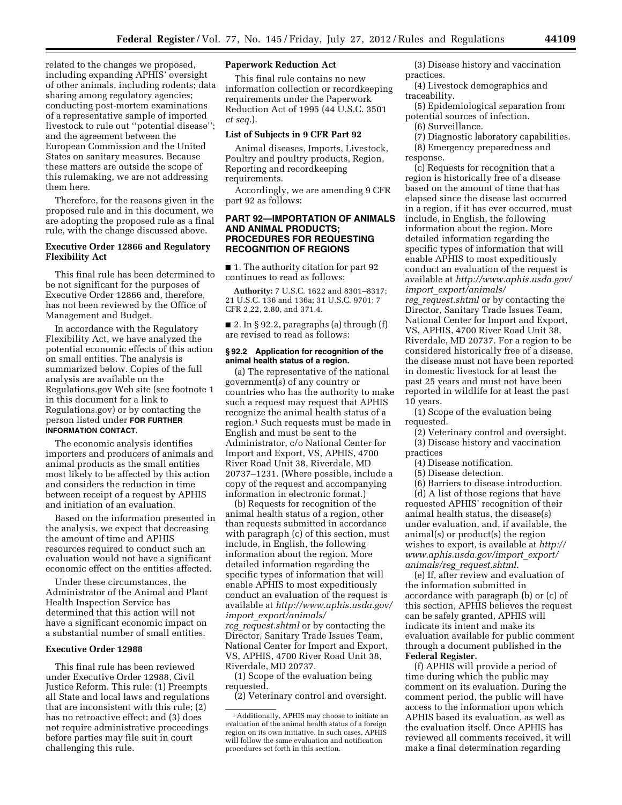related to the changes we proposed, including expanding APHIS' oversight of other animals, including rodents; data sharing among regulatory agencies; conducting post-mortem examinations of a representative sample of imported livestock to rule out ''potential disease''; and the agreement between the European Commission and the United States on sanitary measures. Because these matters are outside the scope of this rulemaking, we are not addressing them here.

Therefore, for the reasons given in the proposed rule and in this document, we are adopting the proposed rule as a final rule, with the change discussed above.

## **Executive Order 12866 and Regulatory Flexibility Act**

This final rule has been determined to be not significant for the purposes of Executive Order 12866 and, therefore, has not been reviewed by the Office of Management and Budget.

In accordance with the Regulatory Flexibility Act, we have analyzed the potential economic effects of this action on small entities. The analysis is summarized below. Copies of the full analysis are available on the Regulations.gov Web site (see footnote 1 in this document for a link to Regulations.gov) or by contacting the person listed under **FOR FURTHER INFORMATION CONTACT**.

The economic analysis identifies importers and producers of animals and animal products as the small entities most likely to be affected by this action and considers the reduction in time between receipt of a request by APHIS and initiation of an evaluation.

Based on the information presented in the analysis, we expect that decreasing the amount of time and APHIS resources required to conduct such an evaluation would not have a significant economic effect on the entities affected.

Under these circumstances, the Administrator of the Animal and Plant Health Inspection Service has determined that this action will not have a significant economic impact on a substantial number of small entities.

# **Executive Order 12988**

This final rule has been reviewed under Executive Order 12988, Civil Justice Reform. This rule: (1) Preempts all State and local laws and regulations that are inconsistent with this rule; (2) has no retroactive effect; and (3) does not require administrative proceedings before parties may file suit in court challenging this rule.

# **Paperwork Reduction Act**

This final rule contains no new information collection or recordkeeping requirements under the Paperwork Reduction Act of 1995 (44 U.S.C. 3501 *et seq.*).

#### **List of Subjects in 9 CFR Part 92**

Animal diseases, Imports, Livestock, Poultry and poultry products, Region, Reporting and recordkeeping requirements.

Accordingly, we are amending 9 CFR part 92 as follows:

# **PART 92—IMPORTATION OF ANIMALS AND ANIMAL PRODUCTS; PROCEDURES FOR REQUESTING RECOGNITION OF REGIONS**

■ 1. The authority citation for part 92 continues to read as follows:

**Authority:** 7 U.S.C. 1622 and 8301–8317; 21 U.S.C. 136 and 136a; 31 U.S.C. 9701; 7 CFR 2.22, 2.80, and 371.4.

 $\blacksquare$  2. In § 92.2, paragraphs (a) through (f) are revised to read as follows:

#### **§ 92.2 Application for recognition of the animal health status of a region.**

(a) The representative of the national government(s) of any country or countries who has the authority to make such a request may request that APHIS recognize the animal health status of a region.1 Such requests must be made in English and must be sent to the Administrator, c/o National Center for Import and Export, VS, APHIS, 4700 River Road Unit 38, Riverdale, MD 20737–1231. (Where possible, include a copy of the request and accompanying information in electronic format.)

(b) Requests for recognition of the animal health status of a region, other than requests submitted in accordance with paragraph (c) of this section, must include, in English, the following information about the region. More detailed information regarding the specific types of information that will enable APHIS to most expeditiously conduct an evaluation of the request is available at *[http://www.aphis.usda.gov/](http://www.aphis.usda.gov/import_export/animals/reg_request.shtml) import*\_*[export/animals/](http://www.aphis.usda.gov/import_export/animals/reg_request.shtml) reg*\_*[request.shtml](http://www.aphis.usda.gov/import_export/animals/reg_request.shtml)* or by contacting the Director, Sanitary Trade Issues Team, National Center for Import and Export, VS, APHIS, 4700 River Road Unit 38, Riverdale, MD 20737.

(1) Scope of the evaluation being requested.

(2) Veterinary control and oversight.

(3) Disease history and vaccination practices.

(4) Livestock demographics and traceability.

(5) Epidemiological separation from potential sources of infection.

(6) Surveillance.

(7) Diagnostic laboratory capabilities. (8) Emergency preparedness and

response.

(c) Requests for recognition that a region is historically free of a disease based on the amount of time that has elapsed since the disease last occurred in a region, if it has ever occurred, must include, in English, the following information about the region. More detailed information regarding the specific types of information that will enable APHIS to most expeditiously conduct an evaluation of the request is available at *[http://www.aphis.usda.gov/](http://www.aphis.usda.gov/import_export/animals/reg_request.shtml) import*\_*[export/animals/](http://www.aphis.usda.gov/import_export/animals/reg_request.shtml) reg*\_*[request.shtml](http://www.aphis.usda.gov/import_export/animals/reg_request.shtml)* or by contacting the Director, Sanitary Trade Issues Team, National Center for Import and Export, VS, APHIS, 4700 River Road Unit 38, Riverdale, MD 20737. For a region to be considered historically free of a disease, the disease must not have been reported in domestic livestock for at least the past 25 years and must not have been reported in wildlife for at least the past 10 years.

(1) Scope of the evaluation being requested.

- (2) Veterinary control and oversight.
- (3) Disease history and vaccination practices
	- (4) Disease notification.
	- (5) Disease detection.

(6) Barriers to disease introduction. (d) A list of those regions that have requested APHIS' recognition of their animal health status, the disease(s) under evaluation, and, if available, the animal(s) or product(s) the region wishes to export, is available at *[http://](http://www.aphis.usda.gov/import_export/animals/reg_request.shtml) [www.aphis.usda.gov/import](http://www.aphis.usda.gov/import_export/animals/reg_request.shtml)*\_*export/ animals/reg*\_*[request.shtml.](http://www.aphis.usda.gov/import_export/animals/reg_request.shtml)* 

(e) If, after review and evaluation of the information submitted in accordance with paragraph (b) or (c) of this section, APHIS believes the request can be safely granted, APHIS will indicate its intent and make its evaluation available for public comment through a document published in the **Federal Register.** 

(f) APHIS will provide a period of time during which the public may comment on its evaluation. During the comment period, the public will have access to the information upon which APHIS based its evaluation, as well as the evaluation itself. Once APHIS has reviewed all comments received, it will make a final determination regarding

<sup>1</sup>Additionally, APHIS may choose to initiate an evaluation of the animal health status of a foreign region on its own initiative. In such cases, APHIS will follow the same evaluation and notification procedures set forth in this section.